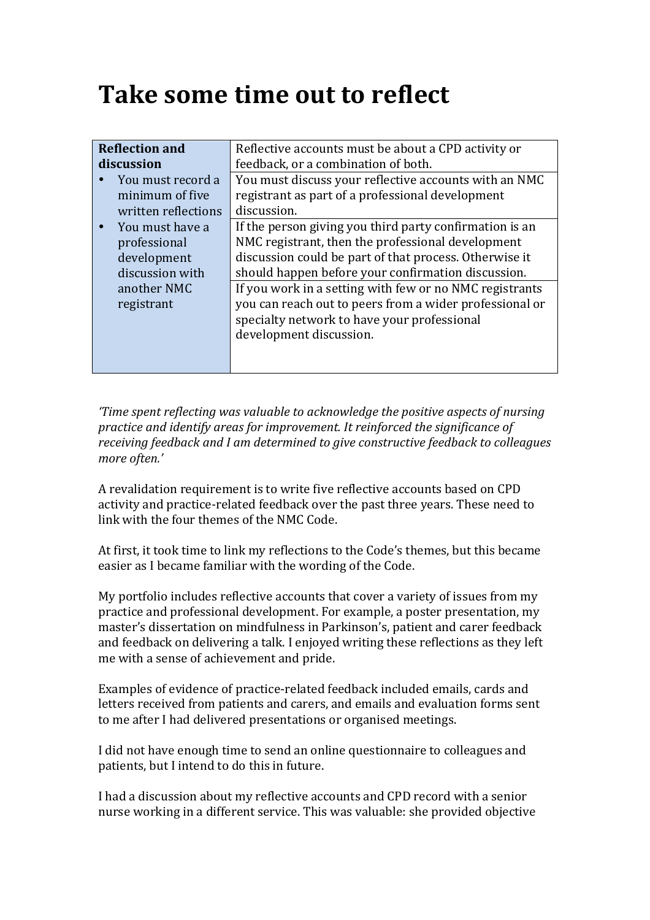## **Take some time out to reflect**

| <b>Reflection and</b>     | Reflective accounts must be about a CPD activity or                                                                                                                                          |
|---------------------------|----------------------------------------------------------------------------------------------------------------------------------------------------------------------------------------------|
| discussion                | feedback, or a combination of both.                                                                                                                                                          |
| You must record a         | You must discuss your reflective accounts with an NMC                                                                                                                                        |
| minimum of five           | registrant as part of a professional development                                                                                                                                             |
| written reflections       | discussion.                                                                                                                                                                                  |
| You must have a           | If the person giving you third party confirmation is an                                                                                                                                      |
| professional              | NMC registrant, then the professional development                                                                                                                                            |
| development               | discussion could be part of that process. Otherwise it                                                                                                                                       |
| discussion with           | should happen before your confirmation discussion.                                                                                                                                           |
| another NMC<br>registrant | If you work in a setting with few or no NMC registrants<br>you can reach out to peers from a wider professional or<br>specialty network to have your professional<br>development discussion. |

*'Time spent reflecting was valuable to acknowledge the positive aspects of nursing practice and identify areas for improvement. It reinforced the significance of receiving feedback and I am determined to give constructive feedback to colleagues* more often.'

A revalidation requirement is to write five reflective accounts based on CPD activity and practice-related feedback over the past three years. These need to link with the four themes of the NMC Code.

At first, it took time to link my reflections to the Code's themes, but this became easier as I became familiar with the wording of the Code.

My portfolio includes reflective accounts that cover a variety of issues from my practice and professional development. For example, a poster presentation, my master's dissertation on mindfulness in Parkinson's, patient and carer feedback and feedback on delivering a talk. I enjoyed writing these reflections as they left me with a sense of achievement and pride.

Examples of evidence of practice-related feedback included emails, cards and letters received from patients and carers, and emails and evaluation forms sent to me after I had delivered presentations or organised meetings.

I did not have enough time to send an online questionnaire to colleagues and patients, but I intend to do this in future.

I had a discussion about my reflective accounts and CPD record with a senior nurse working in a different service. This was valuable: she provided objective